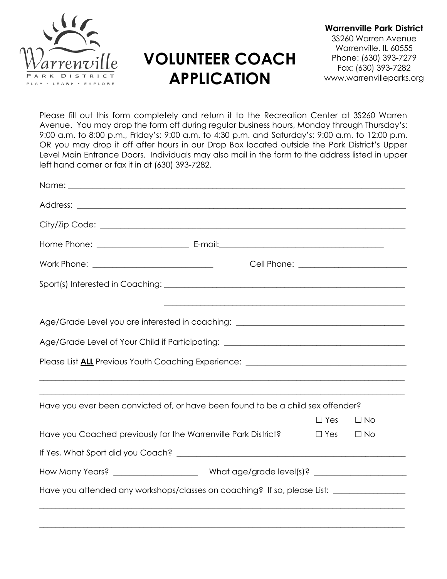

## **VOLUNTEER COACH APPLICATION**

**Warrenville Park District** 3S260 Warren Avenue Warrenville, IL 60555 Phone: (630) 393-7279 Fax: (630) 393-7282 www.warrenvilleparks.org

Please fill out this form completely and return it to the Recreation Center at 3S260 Warren Avenue. You may drop the form off during regular business hours, Monday through Thursday's: 9:00 a.m. to 8:00 p.m., Friday's: 9:00 a.m. to 4:30 p.m. and Saturday's: 9:00 a.m. to 12:00 p.m. OR you may drop it off after hours in our Drop Box located outside the Park District's Upper Level Main Entrance Doors. Individuals may also mail in the form to the address listed in upper left hand corner or fax it in at (630) 393-7282.

| Age/Grade Level you are interested in coaching: _________________________________                    |                                    |           |
|------------------------------------------------------------------------------------------------------|------------------------------------|-----------|
| Age/Grade Level of Your Child if Participating: _________________________________                    |                                    |           |
| Please List ALL Previous Youth Coaching Experience: ____________________________                     |                                    |           |
|                                                                                                      |                                    |           |
| Have you ever been convicted of, or have been found to be a child sex offender?                      |                                    |           |
| Have you Coached previously for the Warrenville Park District?                                       | $\Box$ Yes $\Box$ No<br>$\Box$ Yes | $\Box$ No |
|                                                                                                      |                                    |           |
|                                                                                                      |                                    |           |
| Have you attended any workshops/classes on coaching? If so, please List: ___________________________ |                                    |           |
|                                                                                                      |                                    |           |

 $\_$  , and the set of the set of the set of the set of the set of the set of the set of the set of the set of the set of the set of the set of the set of the set of the set of the set of the set of the set of the set of th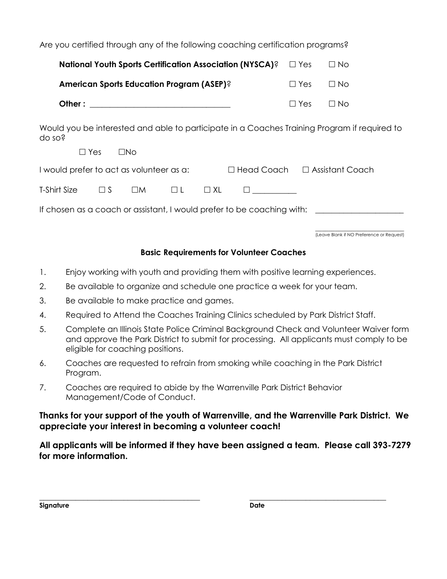| Are you certified through any of the following coaching certification programs?                                                      |            |                                           |
|--------------------------------------------------------------------------------------------------------------------------------------|------------|-------------------------------------------|
| <b>National Youth Sports Certification Association (NYSCA)?</b>                                                                      | $\Box$ Yes | $\Box$ No                                 |
| <b>American Sports Education Program (ASEP)?</b>                                                                                     | $\Box$ Yes | $\Box$ No                                 |
|                                                                                                                                      | $\Box$ Yes | $\Box$ No                                 |
| Would you be interested and able to participate in a Coaches Training Program if required to<br>do so?<br>$\Box$ Yes<br>$\square$ No |            |                                           |
| I would prefer to act as volunteer as a:<br>□ Head Coach  □ Assistant Coach                                                          |            |                                           |
| $\Box$ S<br>T-Shirt Size<br>$\square M$<br>$\Box L$<br>$\Box$ XL                                                                     |            |                                           |
| If chosen as a coach or assistant, I would prefer to be coaching with: _________                                                     |            |                                           |
|                                                                                                                                      |            | (Leave Blank if NO Preference or Request) |

## **Basic Requirements for Volunteer Coaches**

- 1. Enjoy working with youth and providing them with positive learning experiences.
- 2. Be available to organize and schedule one practice a week for your team.
- 3. Be available to make practice and games.
- 4. Required to Attend the Coaches Training Clinics scheduled by Park District Staff.
- 5. Complete an Illinois State Police Criminal Background Check and Volunteer Waiver form and approve the Park District to submit for processing. All applicants must comply to be eligible for coaching positions.
- 6. Coaches are requested to refrain from smoking while coaching in the Park District Program.
- 7. Coaches are required to abide by the Warrenville Park District Behavior Management/Code of Conduct.

## **Thanks for your support of the youth of Warrenville, and the Warrenville Park District. We appreciate your interest in becoming a volunteer coach!**

**All applicants will be informed if they have been assigned a team. Please call 393-7279 for more information.**

**\_\_\_\_\_\_\_\_\_\_\_\_\_\_\_\_\_\_\_\_\_\_\_\_\_\_\_\_\_\_\_\_\_\_\_\_\_\_\_\_ \_\_\_\_\_\_\_\_\_\_\_\_\_\_\_\_\_\_\_\_\_\_\_\_\_\_\_\_\_\_\_\_\_\_**

| Signature | Date |
|-----------|------|
|           |      |